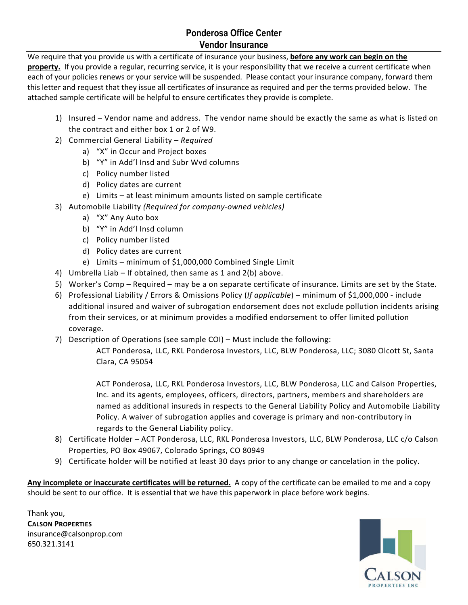## **Ponderosa Office Center Vendor Insurance**

We require that you provide us with a certificate of insurance your business, **before any work can begin on the**  property. If you provide a regular, recurring service, it is your responsibility that we receive a current certificate when each of your policies renews or your service will be suspended. Please contact your insurance company, forward them this letter and request that they issue all certificates of insurance as required and per the terms provided below. The attached sample certificate will be helpful to ensure certificates they provide is complete.

- 1) Insured Vendor name and address. The vendor name should be exactly the same as what is listed on the contract and either box 1 or 2 of W9.
- 2) Commercial General Liability *Required*
	- a) "X" in Occur and Project boxes
	- b) "Y" in Add'l Insd and Subr Wvd columns
	- c) Policy number listed
	- d) Policy dates are current
	- e) Limits at least minimum amounts listed on sample certificate
- 3) Automobile Liability *(Required for company-owned vehicles)*
	- a) "X" Any Auto box
	- b) "Y" in Add'l Insd column
	- c) Policy number listed
	- d) Policy dates are current
	- e) Limits minimum of \$1,000,000 Combined Single Limit
- 4) Umbrella Liab If obtained, then same as 1 and 2(b) above.
- 5) Worker's Comp Required may be a on separate certificate of insurance. Limits are set by the State.
- 6) Professional Liability / Errors & Omissions Policy (*If applicable*) minimum of \$1,000,000 include additional insured and waiver of subrogation endorsement does not exclude pollution incidents arising from their services, or at minimum provides a modified endorsement to offer limited pollution coverage.
- 7) Description of Operations (see sample COI) Must include the following:

ACT Ponderosa, LLC, RKL Ponderosa Investors, LLC, BLW Ponderosa, LLC; 3080 Olcott St, Santa Clara, CA 95054

ACT Ponderosa, LLC, RKL Ponderosa Investors, LLC, BLW Ponderosa, LLC and Calson Properties, Inc. and its agents, employees, officers, directors, partners, members and shareholders are named as additional insureds in respects to the General Liability Policy and Automobile Liability Policy. A waiver of subrogation applies and coverage is primary and non-contributory in regards to the General Liability policy.

- 8) Certificate Holder ACT Ponderosa, LLC, RKL Ponderosa Investors, LLC, BLW Ponderosa, LLC c/o Calson Properties, PO Box 49067, Colorado Springs, CO 80949
- 9) Certificate holder will be notified at least 30 days prior to any change or cancelation in the policy.

**Any incomplete or inaccurate certificates will be returned.** A copy of the certificate can be emailed to me and a copy should be sent to our office. It is essential that we have this paperwork in place before work begins.

Thank you, **CALSON PROPERTIES** insurance@calsonprop.com 650.321.3141